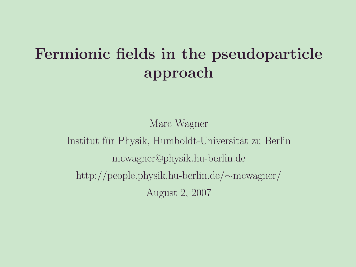### Fermionic fields in the pseudoparticle approach

Marc Wagner

Institut für Physik, Humboldt-Universität zu Berlin mcwagner@physik.hu-berlin.de http://people.physik.hu-berlin.de/∼mcwagner/ August 2, 2007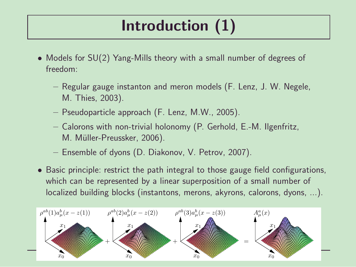# Introduction (1)

- Models for SU(2) Yang-Mills theory with a small number of degrees of freedom:
	- Regular gauge instanton and meron models (F. Lenz, J. W. Negele, M. Thies, 2003).
	- Pseudoparticle approach (F. Lenz, M.W., 2005).
	- Calorons with non-trivial holonomy (P. Gerhold, E.-M. Ilgenfritz, M. Müller-Preussker, 2006).
	- Ensemble of dyons (D. Diakonov, V. Petrov, 2007).
- Basic principle: restrict the path integral to those gauge field configurations, which can be represented by a linear superposition of a small number of localized building blocks (instantons, merons, akyrons, calorons, dyons, ...).

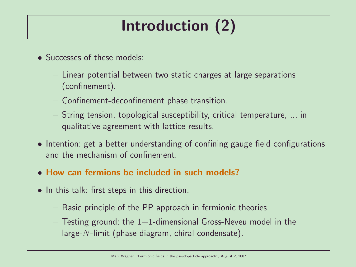# Introduction (2)

- Successes of these models:
	- Linear potential between two static charges at large separations (confinement).
	- Confinement-deconfinement phase transition.
	- String tension, topological susceptibility, critical temperature, ... in qualitative agreement with lattice results.
- Intention: get a better understanding of confining gauge field configurations and the mechanism of confinement.
- How can fermions be included in such models?
- In this talk: first steps in this direction.
	- Basic principle of the PP approach in fermionic theories.
	- $-$  Testing ground: the 1+1-dimensional Gross-Neveu model in the large- $N$ -limit (phase diagram, chiral condensate).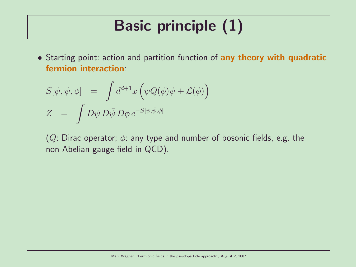# Basic principle (1)

• Starting point: action and partition function of any theory with quadratic fermion interaction:

$$
S[\psi, \bar{\psi}, \phi] = \int d^{d+1}x \left( \bar{\psi} Q(\phi) \psi + \mathcal{L}(\phi) \right)
$$
  

$$
Z = \int D\psi D\bar{\psi} D\phi e^{-S[\psi, \bar{\psi}, \phi]}
$$

(Q: Dirac operator;  $\phi$ : any type and number of bosonic fields, e.g. the non-Abelian gauge field in QCD).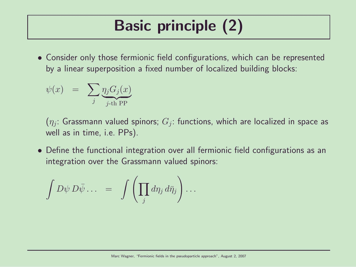# Basic principle (2)

• Consider only those fermionic field configurations, which can be represented by a linear superposition a fixed number of localized building blocks:

$$
\psi(x) = \sum_{j} \underbrace{\eta_j G_j(x)}_{j \text{-th PP}}
$$

 $(\eta_j\colon$  Grassmann valued spinors;  $G_j\colon$  functions, which are localized in space as well as in time, i.e. PPs).

• Define the functional integration over all fermionic field configurations as an integration over the Grassmann valued spinors:

$$
\int D\psi D\bar{\psi}\dots = \int \left(\prod_j d\eta_j d\bar{\eta}_j\right)\dots
$$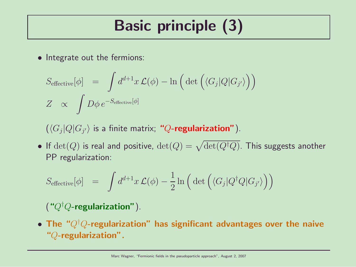# Basic principle (3)

• Integrate out the fermions:

$$
S_{\text{effective}}[\phi] = \int d^{d+1}x \mathcal{L}(\phi) - \ln\left(\det\left(\langle G_j|Q|G_{j'}\rangle\right)\right)
$$
  

$$
Z \propto \int D\phi \, e^{-S_{\text{effective}}[\phi]}
$$

 $\left( \langle G_j|Q|G_{j'} \rangle \right.$  is a finite matrix; " $Q$ -regularization").

 $\bullet$  If  $\det(Q)$  is real and positive,  $\det(Q) = \sqrt{\det(Q^\dagger Q)}$ . This suggests another PP regularization:

$$
S_{\text{effective}}[\phi] = \int d^{d+1}x \mathcal{L}(\phi) - \frac{1}{2} \ln \left( \det \left( \langle G_j | Q^\dagger Q | G_{j'} \rangle \right) \right)
$$

#### $( "Q<sup>†</sup>Q-regularization").$

• The " $Q^{\dagger}Q$ -regularization" has significant advantages over the naive "Q-regularization".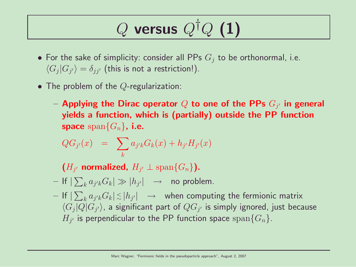# $Q$  versus  $Q^{\dagger}Q$  (1)

- For the sake of simplicity: consider all PPs  $G_i$  to be orthonormal, i.e.  $\langle G_j | G_{j'} \rangle = \delta_{jj'}$  (this is not a restriction!).
- The problem of the  $Q$ -regularization:
	- $-$  Applying the Dirac operator  $Q$  to one of the PPs  $G_{j^\prime}$  in general yields a function, which is (partially) outside the PP function space span ${G_n}$ , i.e.

$$
QG_{j'}(x) = \sum_{k} a_{j'k} G_k(x) + h_{j'} H_{j'}(x)
$$

 $(H_{j'}$  normalized,  $H_{j'} \perp \text{span}\{G_n\}$ ).

- $-$  If  $|\sum_k a_{j'k}G_k|\gg |h_{j'}|$   $\;\;\rightarrow$   $\;$  no problem.
- $-$  If  $|\sum_k a_{j'k}G_k| \lesssim |h_{j'}| \quad \to \quad$  when computing the fermionic matrix  $\langle G_j|Q|G_{j'}\rangle$ , a significant part of  $QG_{j'}$  is simply ignored, just because  $H_{j'}$  is perpendicular to the PP function space  ${\rm span}\{G_n\}.$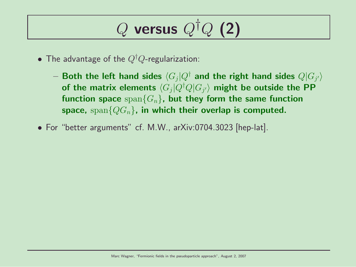# $Q$  versus  $Q^{\dagger}Q$  (2)

- The advantage of the  $Q^{\dagger}Q$ -regularization:
	- $-$  Both the left hand sides  $\langle G_j | Q^\dagger$  and the right hand sides  $Q|G_{j'}\rangle$ of the matrix elements  $\langle G_j|Q^\dagger Q|G_{j^\prime}\rangle$  might be outside the PP function space  $\text{span}\{G_n\}$ , but they form the same function space, span ${QG_n}$ , in which their overlap is computed.
- For "better arguments" cf. M.W., arXiv:0704.3023 [hep-lat].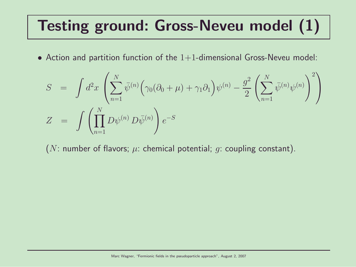## Testing ground: Gross-Neveu model (1)

• Action and partition function of the  $1+1$ -dimensional Gross-Neveu model:

$$
S = \int d^2x \left( \sum_{n=1}^N \bar{\psi}^{(n)} \Big( \gamma_0 (\partial_0 + \mu) + \gamma_1 \partial_1 \Big) \psi^{(n)} - \frac{g^2}{2} \left( \sum_{n=1}^N \bar{\psi}^{(n)} \psi^{(n)} \right)^2 \right)
$$
  

$$
Z = \int \left( \prod_{n=1}^N D\psi^{(n)} D\bar{\psi}^{(n)} \right) e^{-S}
$$

(N: number of flavors;  $\mu$ : chemical potential; q: coupling constant).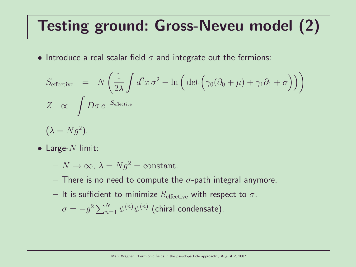## Testing ground: Gross-Neveu model (2)

• Introduce a real scalar field  $\sigma$  and integrate out the fermions:

$$
S_{\text{effective}} = N \left( \frac{1}{2\lambda} \int d^2 x \,\sigma^2 - \ln \left( \det \left( \gamma_0 (\partial_0 + \mu) + \gamma_1 \partial_1 + \sigma \right) \right) \right)
$$
  
\n
$$
Z \propto \int D\sigma \, e^{-S_{\text{effective}}}
$$
  
\n
$$
(\lambda = Ng^2).
$$

 $\bullet$  Large- $N$  limit:

 $-N \to \infty$ ,  $\lambda = Nq^2 = \text{constant}$ .

- There is no need to compute the  $\sigma$ -path integral anymore.
- It is sufficient to minimize  $S_{\text{effective}}$  with respect to  $\sigma$ .

$$
- \sigma = -g^2 \sum_{n=1}^{N} \bar{\psi}^{(n)} \psi^{(n)}
$$
 (chiral condensate).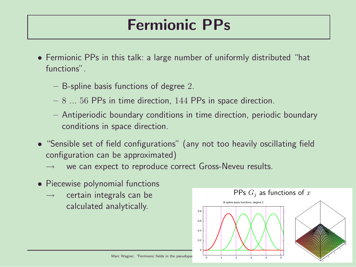### Fermionic PPs

- Fermionic PPs in this talk: a large number of uniformly distributed "hat functions".
	- B-spline basis functions of degree 2.
	- $-8$  ... 56 PPs in time direction, 144 PPs in space direction.
	- Antiperiodic boundary conditions in time direction, periodic boundary conditions in space direction.
- "Sensible set of field configurations" (any not too heavily oscillating field configuration can be approximated)
	- we can expect to reproduce correct Gross-Neveu results.
- Piecewise polynomial functions
	- $\rightarrow$  certain integrals can be calculated analytically.

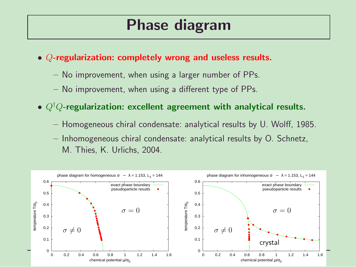### Phase diagram

- Q-regularization: completely wrong and useless results.
	- No improvement, when using a larger number of PPs.
	- No improvement, when using a different type of PPs.
- $Q^{\dagger}Q$ -regularization: excellent agreement with analytical results.
	- Homogeneous chiral condensate: analytical results by U. Wolff, 1985.
	- Inhomogeneous chiral condensate: analytical results by O. Schnetz, M. Thies, K. Urlichs, 2004.

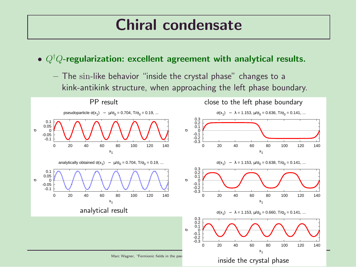#### Chiral condensate

- $Q^{\dagger}Q$ -regularization: excellent agreement with analytical results.
	- The sin-like behavior "inside the crystal phase" changes to a kink-antikink structure, when approaching the left phase boundary.

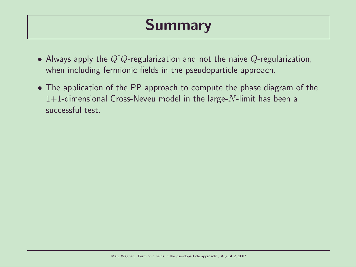### Summary

- Always apply the  $Q^{\dagger}Q$ -regularization and not the naive  $Q$ -regularization, when including fermionic fields in the pseudoparticle approach.
- The application of the PP approach to compute the phase diagram of the 1+1-dimensional Gross-Neveu model in the large- $N$ -limit has been a successful test.